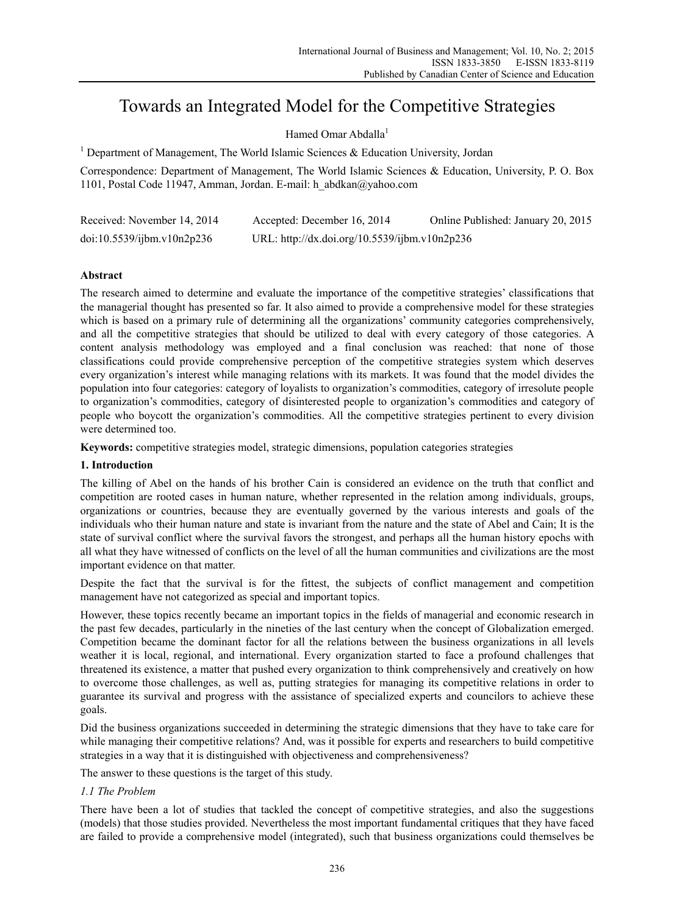# Towards an Integrated Model for the Competitive Strategies

Hamed Omar Abdalla<sup>1</sup>

<sup>1</sup> Department of Management, The World Islamic Sciences  $\&$  Education University, Jordan

Correspondence: Department of Management, The World Islamic Sciences & Education, University, P. O. Box 1101, Postal Code 11947, Amman, Jordan. E-mail: h\_abdkan@yahoo.com

| Received: November 14, 2014 | Accepted: December 16, 2014                   | Online Published: January 20, 2015 |
|-----------------------------|-----------------------------------------------|------------------------------------|
| doi:10.5539/ijbm.v10n2p236  | URL: http://dx.doi.org/10.5539/ijbm.v10n2p236 |                                    |

# **Abstract**

The research aimed to determine and evaluate the importance of the competitive strategies' classifications that the managerial thought has presented so far. It also aimed to provide a comprehensive model for these strategies which is based on a primary rule of determining all the organizations' community categories comprehensively, and all the competitive strategies that should be utilized to deal with every category of those categories. A content analysis methodology was employed and a final conclusion was reached: that none of those classifications could provide comprehensive perception of the competitive strategies system which deserves every organization's interest while managing relations with its markets. It was found that the model divides the population into four categories: category of loyalists to organization's commodities, category of irresolute people to organization's commodities, category of disinterested people to organization's commodities and category of people who boycott the organization's commodities. All the competitive strategies pertinent to every division were determined too.

**Keywords:** competitive strategies model, strategic dimensions, population categories strategies

# **1. Introduction**

The killing of Abel on the hands of his brother Cain is considered an evidence on the truth that conflict and competition are rooted cases in human nature, whether represented in the relation among individuals, groups, organizations or countries, because they are eventually governed by the various interests and goals of the individuals who their human nature and state is invariant from the nature and the state of Abel and Cain; It is the state of survival conflict where the survival favors the strongest, and perhaps all the human history epochs with all what they have witnessed of conflicts on the level of all the human communities and civilizations are the most important evidence on that matter.

Despite the fact that the survival is for the fittest, the subjects of conflict management and competition management have not categorized as special and important topics.

However, these topics recently became an important topics in the fields of managerial and economic research in the past few decades, particularly in the nineties of the last century when the concept of Globalization emerged. Competition became the dominant factor for all the relations between the business organizations in all levels weather it is local, regional, and international. Every organization started to face a profound challenges that threatened its existence, a matter that pushed every organization to think comprehensively and creatively on how to overcome those challenges, as well as, putting strategies for managing its competitive relations in order to guarantee its survival and progress with the assistance of specialized experts and councilors to achieve these goals.

Did the business organizations succeeded in determining the strategic dimensions that they have to take care for while managing their competitive relations? And, was it possible for experts and researchers to build competitive strategies in a way that it is distinguished with objectiveness and comprehensiveness?

The answer to these questions is the target of this study.

# *1.1 The Problem*

There have been a lot of studies that tackled the concept of competitive strategies, and also the suggestions (models) that those studies provided. Nevertheless the most important fundamental critiques that they have faced are failed to provide a comprehensive model (integrated), such that business organizations could themselves be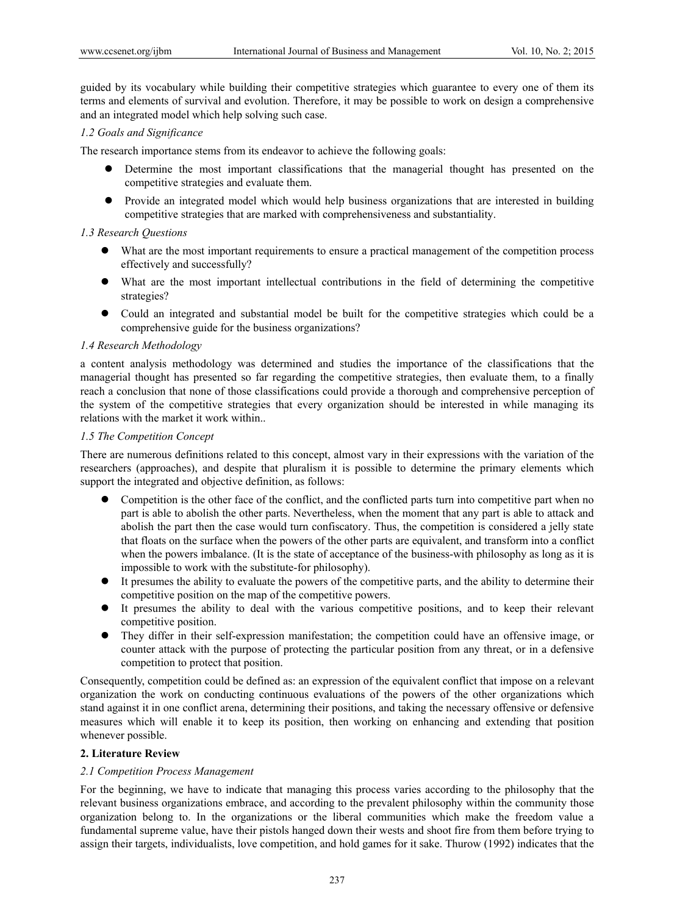guided by its vocabulary while building their competitive strategies which guarantee to every one of them its terms and elements of survival and evolution. Therefore, it may be possible to work on design a comprehensive and an integrated model which help solving such case.

## *1.2 Goals and Significance*

The research importance stems from its endeavor to achieve the following goals:

- Determine the most important classifications that the managerial thought has presented on the competitive strategies and evaluate them.
- Provide an integrated model which would help business organizations that are interested in building competitive strategies that are marked with comprehensiveness and substantiality.

## *1.3 Research Questions*

- What are the most important requirements to ensure a practical management of the competition process effectively and successfully?
- What are the most important intellectual contributions in the field of determining the competitive strategies?
- Could an integrated and substantial model be built for the competitive strategies which could be a comprehensive guide for the business organizations?

## *1.4 Research Methodology*

a content analysis methodology was determined and studies the importance of the classifications that the managerial thought has presented so far regarding the competitive strategies, then evaluate them, to a finally reach a conclusion that none of those classifications could provide a thorough and comprehensive perception of the system of the competitive strategies that every organization should be interested in while managing its relations with the market it work within..

#### *1.5 The Competition Concept*

There are numerous definitions related to this concept, almost vary in their expressions with the variation of the researchers (approaches), and despite that pluralism it is possible to determine the primary elements which support the integrated and objective definition, as follows:

- Competition is the other face of the conflict, and the conflicted parts turn into competitive part when no part is able to abolish the other parts. Nevertheless, when the moment that any part is able to attack and abolish the part then the case would turn confiscatory. Thus, the competition is considered a jelly state that floats on the surface when the powers of the other parts are equivalent, and transform into a conflict when the powers imbalance. (It is the state of acceptance of the business-with philosophy as long as it is impossible to work with the substitute-for philosophy).
- It presumes the ability to evaluate the powers of the competitive parts, and the ability to determine their competitive position on the map of the competitive powers.
- It presumes the ability to deal with the various competitive positions, and to keep their relevant competitive position.
- They differ in their self-expression manifestation; the competition could have an offensive image, or counter attack with the purpose of protecting the particular position from any threat, or in a defensive competition to protect that position.

Consequently, competition could be defined as: an expression of the equivalent conflict that impose on a relevant organization the work on conducting continuous evaluations of the powers of the other organizations which stand against it in one conflict arena, determining their positions, and taking the necessary offensive or defensive measures which will enable it to keep its position, then working on enhancing and extending that position whenever possible.

# **2. Literature Review**

#### *2.1 Competition Process Management*

For the beginning, we have to indicate that managing this process varies according to the philosophy that the relevant business organizations embrace, and according to the prevalent philosophy within the community those organization belong to. In the organizations or the liberal communities which make the freedom value a fundamental supreme value, have their pistols hanged down their wests and shoot fire from them before trying to assign their targets, individualists, love competition, and hold games for it sake. Thurow (1992) indicates that the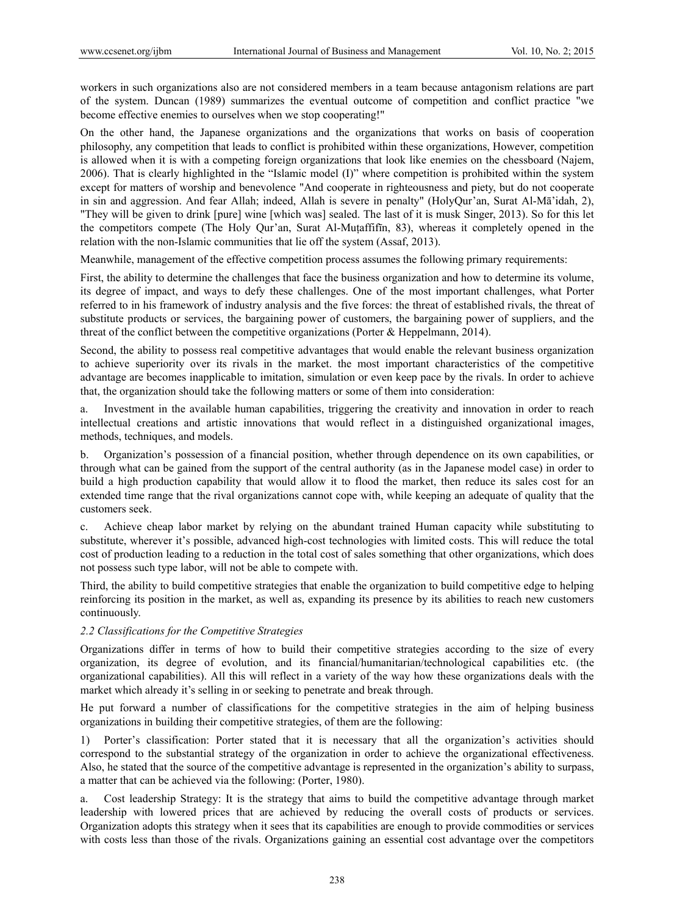workers in such organizations also are not considered members in a team because antagonism relations are part of the system. Duncan (1989) summarizes the eventual outcome of competition and conflict practice "we become effective enemies to ourselves when we stop cooperating!"

On the other hand, the Japanese organizations and the organizations that works on basis of cooperation philosophy, any competition that leads to conflict is prohibited within these organizations, However, competition is allowed when it is with a competing foreign organizations that look like enemies on the chessboard (Najem, 2006). That is clearly highlighted in the "Islamic model (I)" where competition is prohibited within the system except for matters of worship and benevolence "And cooperate in righteousness and piety, but do not cooperate in sin and aggression. And fear Allah; indeed, Allah is severe in penalty" (HolyQur'an, Surat Al-Mā'idah, 2), "They will be given to drink [pure] wine [which was] sealed. The last of it is musk Singer, 2013). So for this let the competitors compete (The Holy Our'an, Surat Al-Mutaffiffin, 83), whereas it completely opened in the relation with the non-Islamic communities that lie off the system (Assaf, 2013).

Meanwhile, management of the effective competition process assumes the following primary requirements:

First, the ability to determine the challenges that face the business organization and how to determine its volume, its degree of impact, and ways to defy these challenges. One of the most important challenges, what Porter referred to in his framework of industry analysis and the five forces: the threat of established rivals, the threat of substitute products or services, the bargaining power of customers, the bargaining power of suppliers, and the threat of the conflict between the competitive organizations (Porter & Heppelmann, 2014).

Second, the ability to possess real competitive advantages that would enable the relevant business organization to achieve superiority over its rivals in the market. the most important characteristics of the competitive advantage are becomes inapplicable to imitation, simulation or even keep pace by the rivals. In order to achieve that, the organization should take the following matters or some of them into consideration:

a. Investment in the available human capabilities, triggering the creativity and innovation in order to reach intellectual creations and artistic innovations that would reflect in a distinguished organizational images, methods, techniques, and models.

b. Organization's possession of a financial position, whether through dependence on its own capabilities, or through what can be gained from the support of the central authority (as in the Japanese model case) in order to build a high production capability that would allow it to flood the market, then reduce its sales cost for an extended time range that the rival organizations cannot cope with, while keeping an adequate of quality that the customers seek.

c. Achieve cheap labor market by relying on the abundant trained Human capacity while substituting to substitute, wherever it's possible, advanced high-cost technologies with limited costs. This will reduce the total cost of production leading to a reduction in the total cost of sales something that other organizations, which does not possess such type labor, will not be able to compete with.

Third, the ability to build competitive strategies that enable the organization to build competitive edge to helping reinforcing its position in the market, as well as, expanding its presence by its abilities to reach new customers continuously.

#### *2.2 Classifications for the Competitive Strategies*

Organizations differ in terms of how to build their competitive strategies according to the size of every organization, its degree of evolution, and its financial/humanitarian/technological capabilities etc. (the organizational capabilities). All this will reflect in a variety of the way how these organizations deals with the market which already it's selling in or seeking to penetrate and break through.

He put forward a number of classifications for the competitive strategies in the aim of helping business organizations in building their competitive strategies, of them are the following:

1) Porter's classification: Porter stated that it is necessary that all the organization's activities should correspond to the substantial strategy of the organization in order to achieve the organizational effectiveness. Also, he stated that the source of the competitive advantage is represented in the organization's ability to surpass, a matter that can be achieved via the following: (Porter, 1980).

Cost leadership Strategy: It is the strategy that aims to build the competitive advantage through market leadership with lowered prices that are achieved by reducing the overall costs of products or services. Organization adopts this strategy when it sees that its capabilities are enough to provide commodities or services with costs less than those of the rivals. Organizations gaining an essential cost advantage over the competitors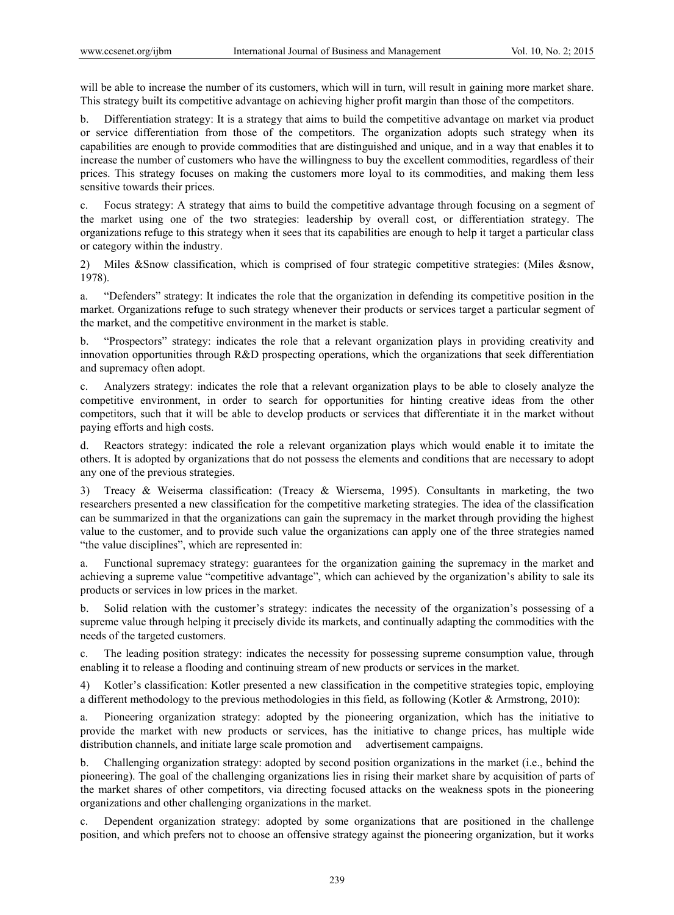will be able to increase the number of its customers, which will in turn, will result in gaining more market share. This strategy built its competitive advantage on achieving higher profit margin than those of the competitors.

b. Differentiation strategy: It is a strategy that aims to build the competitive advantage on market via product or service differentiation from those of the competitors. The organization adopts such strategy when its capabilities are enough to provide commodities that are distinguished and unique, and in a way that enables it to increase the number of customers who have the willingness to buy the excellent commodities, regardless of their prices. This strategy focuses on making the customers more loyal to its commodities, and making them less sensitive towards their prices.

c. Focus strategy: A strategy that aims to build the competitive advantage through focusing on a segment of the market using one of the two strategies: leadership by overall cost, or differentiation strategy. The organizations refuge to this strategy when it sees that its capabilities are enough to help it target a particular class or category within the industry.

2) Miles &Snow classification, which is comprised of four strategic competitive strategies: (Miles &snow, 1978).

a. "Defenders" strategy: It indicates the role that the organization in defending its competitive position in the market. Organizations refuge to such strategy whenever their products or services target a particular segment of the market, and the competitive environment in the market is stable.

b. "Prospectors" strategy: indicates the role that a relevant organization plays in providing creativity and innovation opportunities through R&D prospecting operations, which the organizations that seek differentiation and supremacy often adopt.

c. Analyzers strategy: indicates the role that a relevant organization plays to be able to closely analyze the competitive environment, in order to search for opportunities for hinting creative ideas from the other competitors, such that it will be able to develop products or services that differentiate it in the market without paying efforts and high costs.

d. Reactors strategy: indicated the role a relevant organization plays which would enable it to imitate the others. It is adopted by organizations that do not possess the elements and conditions that are necessary to adopt any one of the previous strategies.

3) Treacy & Weiserma classification: (Treacy & Wiersema, 1995). Consultants in marketing, the two researchers presented a new classification for the competitive marketing strategies. The idea of the classification can be summarized in that the organizations can gain the supremacy in the market through providing the highest value to the customer, and to provide such value the organizations can apply one of the three strategies named "the value disciplines", which are represented in:

a. Functional supremacy strategy: guarantees for the organization gaining the supremacy in the market and achieving a supreme value "competitive advantage", which can achieved by the organization's ability to sale its products or services in low prices in the market.

b. Solid relation with the customer's strategy: indicates the necessity of the organization's possessing of a supreme value through helping it precisely divide its markets, and continually adapting the commodities with the needs of the targeted customers.

c. The leading position strategy: indicates the necessity for possessing supreme consumption value, through enabling it to release a flooding and continuing stream of new products or services in the market.

4) Kotler's classification: Kotler presented a new classification in the competitive strategies topic, employing a different methodology to the previous methodologies in this field, as following (Kotler & Armstrong, 2010):

a. Pioneering organization strategy: adopted by the pioneering organization, which has the initiative to provide the market with new products or services, has the initiative to change prices, has multiple wide distribution channels, and initiate large scale promotion and advertisement campaigns.

b. Challenging organization strategy: adopted by second position organizations in the market (i.e., behind the pioneering). The goal of the challenging organizations lies in rising their market share by acquisition of parts of the market shares of other competitors, via directing focused attacks on the weakness spots in the pioneering organizations and other challenging organizations in the market.

c. Dependent organization strategy: adopted by some organizations that are positioned in the challenge position, and which prefers not to choose an offensive strategy against the pioneering organization, but it works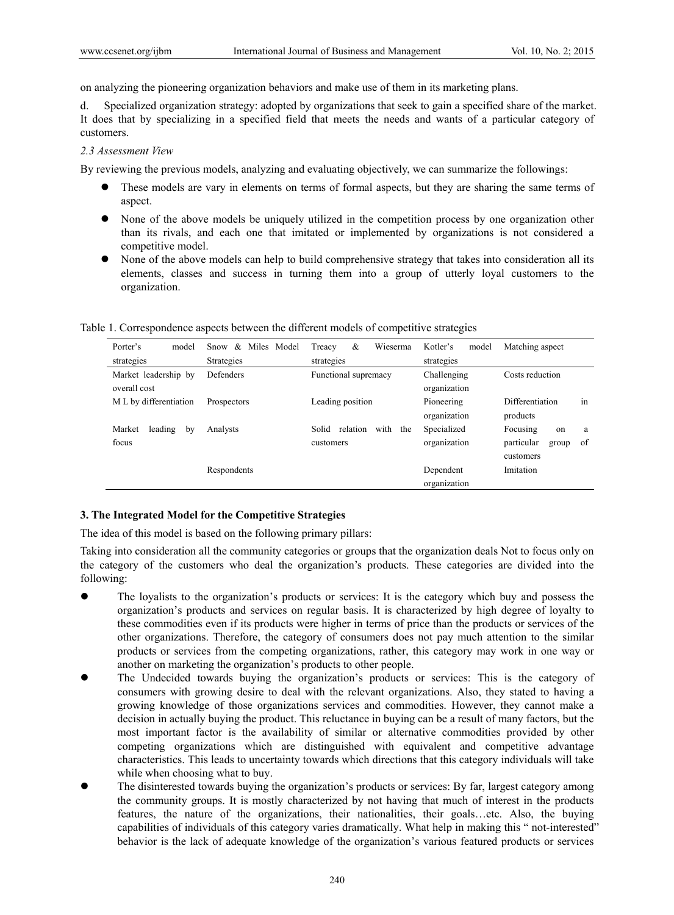on analyzing the pioneering organization behaviors and make use of them in its marketing plans.

d. Specialized organization strategy: adopted by organizations that seek to gain a specified share of the market. It does that by specializing in a specified field that meets the needs and wants of a particular category of customers.

*2.3 Assessment View* 

By reviewing the previous models, analyzing and evaluating objectively, we can summarize the followings:

- These models are vary in elements on terms of formal aspects, but they are sharing the same terms of aspect.
- None of the above models be uniquely utilized in the competition process by one organization other than its rivals, and each one that imitated or implemented by organizations is not considered a competitive model.
- None of the above models can help to build comprehensive strategy that takes into consideration all its elements, classes and success in turning them into a group of utterly loyal customers to the organization.

Table 1. Correspondence aspects between the different models of competitive strategies

| model<br>Porter's<br>strategies      | Snow & Miles Model<br><b>Strategies</b> | Wieserma<br>&<br>Treacy<br>strategies         | Kotler's<br>model<br>Matching aspect<br>strategies                                           |
|--------------------------------------|-----------------------------------------|-----------------------------------------------|----------------------------------------------------------------------------------------------|
| Market leadership by<br>overall cost | Defenders                               | Functional supremacy                          | Challenging<br>Costs reduction<br>organization                                               |
| M L by differentiation               | Prospectors                             | Leading position                              | Differentiation<br>Pioneering<br>1n<br>organization<br>products                              |
| Market<br>leading<br>by<br>focus     | Analysts                                | relation<br>Solid<br>with<br>the<br>customers | Specialized<br>Focusing<br>on<br>a<br>of<br>organization<br>particular<br>group<br>customers |
|                                      | Respondents                             |                                               | Imitation<br>Dependent<br>organization                                                       |

#### **3. The Integrated Model for the Competitive Strategies**

The idea of this model is based on the following primary pillars:

Taking into consideration all the community categories or groups that the organization deals Not to focus only on the category of the customers who deal the organization's products. These categories are divided into the following:

- The loyalists to the organization's products or services: It is the category which buy and possess the organization's products and services on regular basis. It is characterized by high degree of loyalty to these commodities even if its products were higher in terms of price than the products or services of the other organizations. Therefore, the category of consumers does not pay much attention to the similar products or services from the competing organizations, rather, this category may work in one way or another on marketing the organization's products to other people.
- The Undecided towards buying the organization's products or services: This is the category of consumers with growing desire to deal with the relevant organizations. Also, they stated to having a growing knowledge of those organizations services and commodities. However, they cannot make a decision in actually buying the product. This reluctance in buying can be a result of many factors, but the most important factor is the availability of similar or alternative commodities provided by other competing organizations which are distinguished with equivalent and competitive advantage characteristics. This leads to uncertainty towards which directions that this category individuals will take while when choosing what to buy.
- The disinterested towards buying the organization's products or services: By far, largest category among the community groups. It is mostly characterized by not having that much of interest in the products features, the nature of the organizations, their nationalities, their goals…etc. Also, the buying capabilities of individuals of this category varies dramatically. What help in making this " not-interested" behavior is the lack of adequate knowledge of the organization's various featured products or services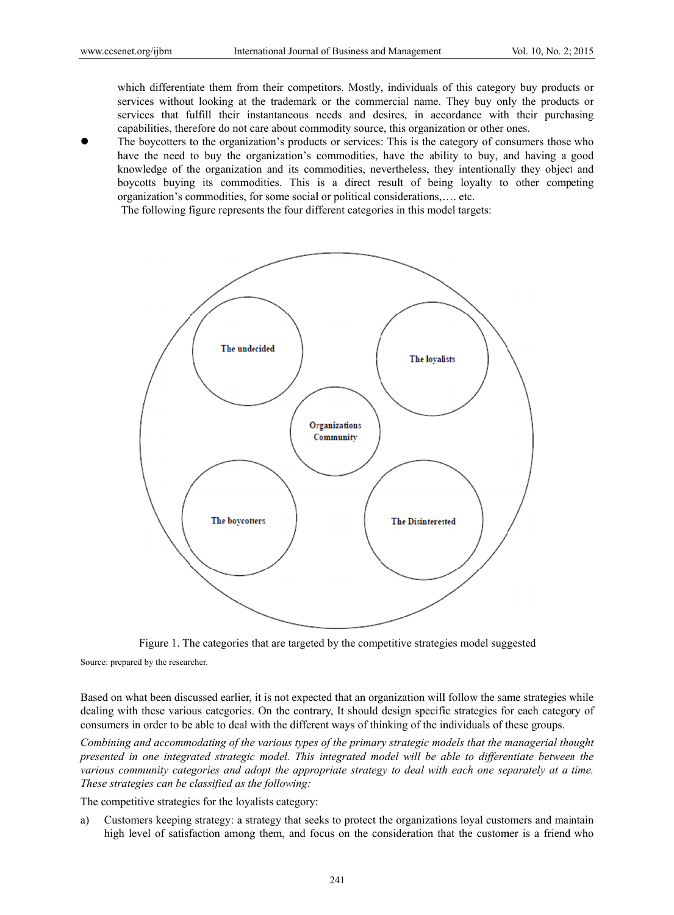which differentiate them from their competitors. Mostly, individuals of this category buy products or services without looking at the trademark or the commercial name. They buy only the products or services that fulfill their instantaneous needs and desires, in accordance with their purchasing capabilities, therefore do not care about commodity source, this organization or other ones.

The boycotters to the organization's products or services: This is the category of consumers those who have the need to buy the organization's commodities, have the ability to buy, and having a good knowledge of the organization and its commodities, nevertheless, they intentionally they object and boycotts buying its commodities. This is a direct result of being loyalty to other competing organization's commodities, for some social or political considerations,.... etc.

The following figure represents the four different categories in this model targets:



Figure 1. The categories that are targeted by the competitive strategies model suggested Source: prepared by the researcher.

Based on what been discussed earlier, it is not expected that an organization will follow the same strategies while dealing with these various categories. On the contrary, It should design specific strategies for each category of consumers in order to be able to deal with the different ways of thinking of the individuals of these groups.

Combining and accommodating of the various types of the primary strategic models that the managerial thought presented in one integrated strategic model. This integrated model will be able to differentiate between the various community categories and adopt the appropriate strategy to deal with each one separately at a time. These strategies can be classified as the following:

The competitive strategies for the loyalists category:

Customers keeping strategy: a strategy that seeks to protect the organizations loval customers and maintain a) high level of satisfaction among them, and focus on the consideration that the customer is a friend who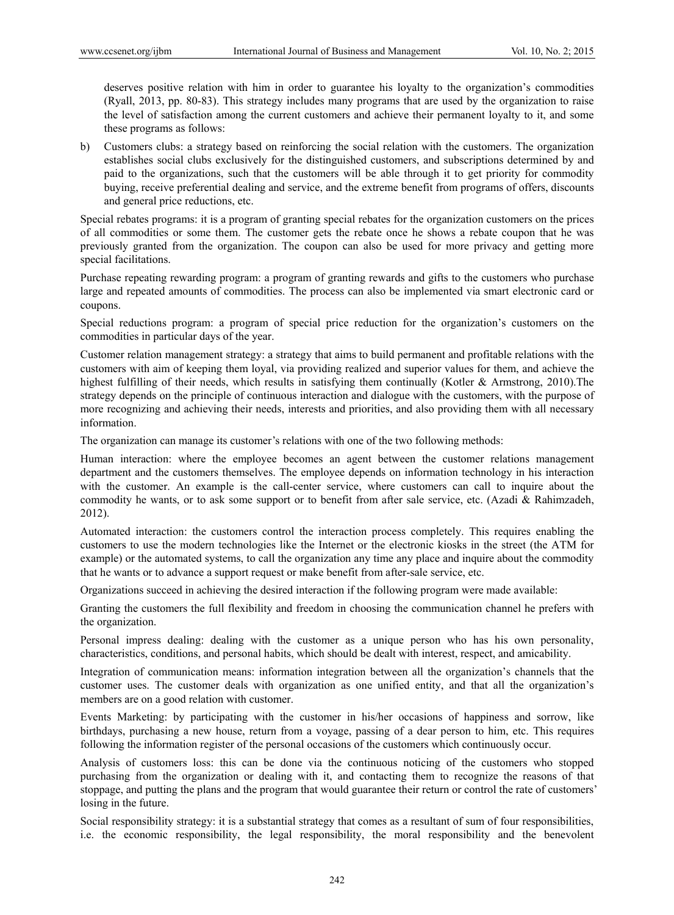deserves positive relation with him in order to guarantee his loyalty to the organization's commodities (Ryall, 2013, pp. 80-83). This strategy includes many programs that are used by the organization to raise the level of satisfaction among the current customers and achieve their permanent loyalty to it, and some these programs as follows:

b) Customers clubs: a strategy based on reinforcing the social relation with the customers. The organization establishes social clubs exclusively for the distinguished customers, and subscriptions determined by and paid to the organizations, such that the customers will be able through it to get priority for commodity buying, receive preferential dealing and service, and the extreme benefit from programs of offers, discounts and general price reductions, etc.

Special rebates programs: it is a program of granting special rebates for the organization customers on the prices of all commodities or some them. The customer gets the rebate once he shows a rebate coupon that he was previously granted from the organization. The coupon can also be used for more privacy and getting more special facilitations.

Purchase repeating rewarding program: a program of granting rewards and gifts to the customers who purchase large and repeated amounts of commodities. The process can also be implemented via smart electronic card or coupons.

Special reductions program: a program of special price reduction for the organization's customers on the commodities in particular days of the year.

Customer relation management strategy: a strategy that aims to build permanent and profitable relations with the customers with aim of keeping them loyal, via providing realized and superior values for them, and achieve the highest fulfilling of their needs, which results in satisfying them continually (Kotler & Armstrong, 2010). The strategy depends on the principle of continuous interaction and dialogue with the customers, with the purpose of more recognizing and achieving their needs, interests and priorities, and also providing them with all necessary information.

The organization can manage its customer's relations with one of the two following methods:

Human interaction: where the employee becomes an agent between the customer relations management department and the customers themselves. The employee depends on information technology in his interaction with the customer. An example is the call-center service, where customers can call to inquire about the commodity he wants, or to ask some support or to benefit from after sale service, etc. (Azadi & Rahimzadeh, 2012).

Automated interaction: the customers control the interaction process completely. This requires enabling the customers to use the modern technologies like the Internet or the electronic kiosks in the street (the ATM for example) or the automated systems, to call the organization any time any place and inquire about the commodity that he wants or to advance a support request or make benefit from after-sale service, etc.

Organizations succeed in achieving the desired interaction if the following program were made available:

Granting the customers the full flexibility and freedom in choosing the communication channel he prefers with the organization.

Personal impress dealing: dealing with the customer as a unique person who has his own personality, characteristics, conditions, and personal habits, which should be dealt with interest, respect, and amicability.

Integration of communication means: information integration between all the organization's channels that the customer uses. The customer deals with organization as one unified entity, and that all the organization's members are on a good relation with customer.

Events Marketing: by participating with the customer in his/her occasions of happiness and sorrow, like birthdays, purchasing a new house, return from a voyage, passing of a dear person to him, etc. This requires following the information register of the personal occasions of the customers which continuously occur.

Analysis of customers loss: this can be done via the continuous noticing of the customers who stopped purchasing from the organization or dealing with it, and contacting them to recognize the reasons of that stoppage, and putting the plans and the program that would guarantee their return or control the rate of customers' losing in the future.

Social responsibility strategy: it is a substantial strategy that comes as a resultant of sum of four responsibilities, i.e. the economic responsibility, the legal responsibility, the moral responsibility and the benevolent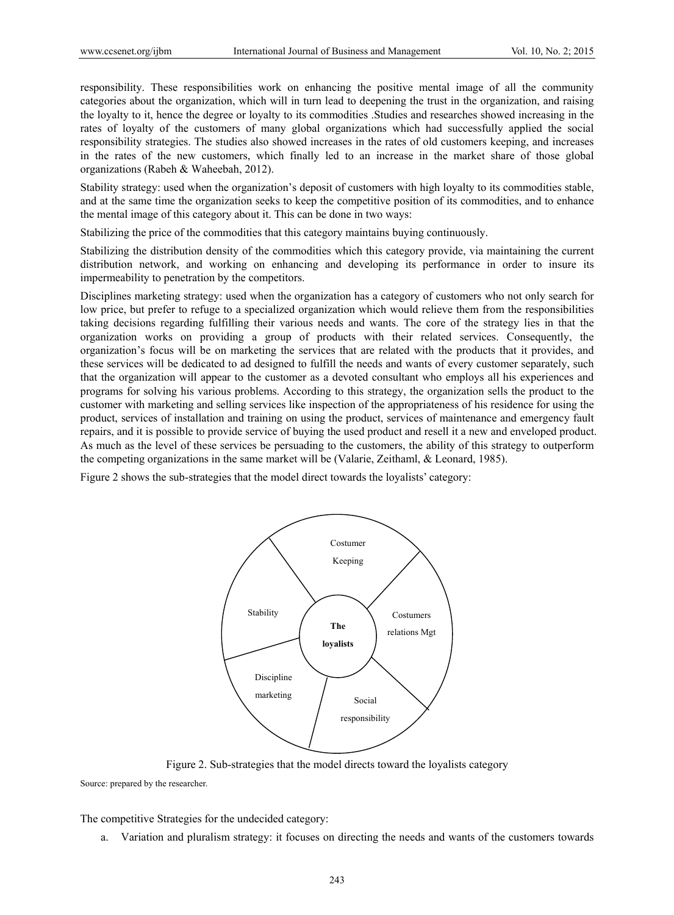responsibility. These responsibilities work on enhancing the positive mental image of all the community categories about the organization, which will in turn lead to deepening the trust in the organization, and raising the loyalty to it, hence the degree or loyalty to its commodities .Studies and researches showed increasing in the rates of loyalty of the customers of many global organizations which had successfully applied the social responsibility strategies. The studies also showed increases in the rates of old customers keeping, and increases in the rates of the new customers, which finally led to an increase in the market share of those global organizations (Rabeh & Waheebah, 2012).

Stability strategy: used when the organization's deposit of customers with high loyalty to its commodities stable, and at the same time the organization seeks to keep the competitive position of its commodities, and to enhance the mental image of this category about it. This can be done in two ways:

Stabilizing the price of the commodities that this category maintains buying continuously.

Stabilizing the distribution density of the commodities which this category provide, via maintaining the current distribution network, and working on enhancing and developing its performance in order to insure its impermeability to penetration by the competitors.

Disciplines marketing strategy: used when the organization has a category of customers who not only search for low price, but prefer to refuge to a specialized organization which would relieve them from the responsibilities taking decisions regarding fulfilling their various needs and wants. The core of the strategy lies in that the organization works on providing a group of products with their related services. Consequently, the organization's focus will be on marketing the services that are related with the products that it provides, and these services will be dedicated to ad designed to fulfill the needs and wants of every customer separately, such that the organization will appear to the customer as a devoted consultant who employs all his experiences and programs for solving his various problems. According to this strategy, the organization sells the product to the customer with marketing and selling services like inspection of the appropriateness of his residence for using the product, services of installation and training on using the product, services of maintenance and emergency fault repairs, and it is possible to provide service of buying the used product and resell it a new and enveloped product. As much as the level of these services be persuading to the customers, the ability of this strategy to outperform the competing organizations in the same market will be (Valarie, Zeithaml, & Leonard, 1985).

Figure 2 shows the sub-strategies that the model direct towards the loyalists' category:



Figure 2. Sub-strategies that the model directs toward the loyalists category

Source: prepared by the researcher.

The competitive Strategies for the undecided category:

a. Variation and pluralism strategy: it focuses on directing the needs and wants of the customers towards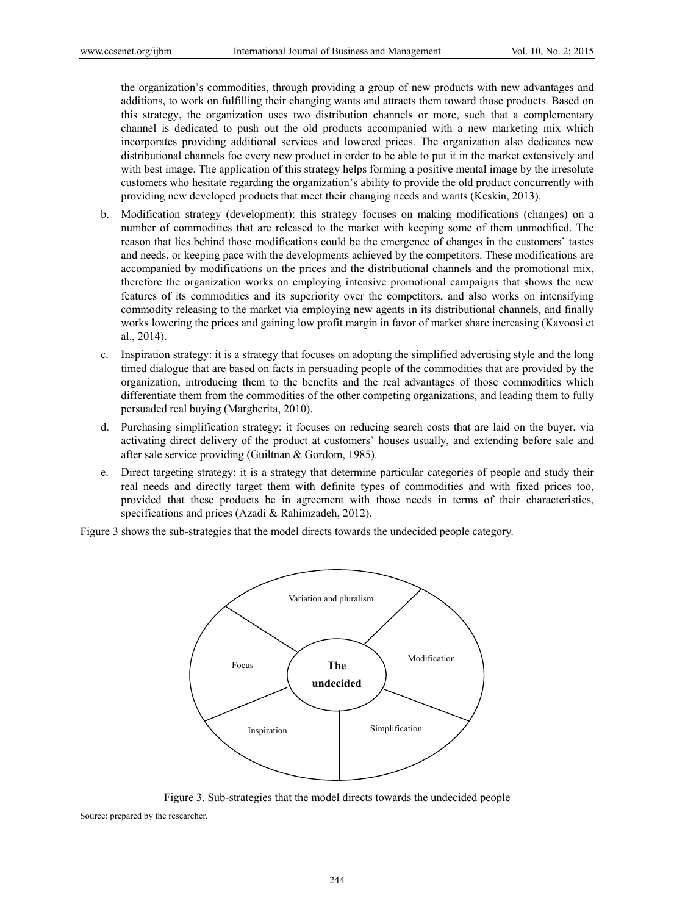the organization's commodities, through providing a group of new products with new advantages and additions, to work on fulfilling their changing wants and attracts them toward those products. Based on this strategy, the organization uses two distribution channels or more, such that a complementary channel is dedicated to push out the old products accompanied with a new marketing mix which incorporates providing additional services and lowered prices. The organization also dedicates new distributional channels foe every new product in order to be able to put it in the market extensively and with best image. The application of this strategy helps forming a positive mental image by the irresolute customers who hesitate regarding the organization's ability to provide the old product concurrently with providing new developed products that meet their changing needs and wants (Keskin, 2013).

- b. Modification strategy (development): this strategy focuses on making modifications (changes) on a number of commodities that are released to the market with keeping some of them unmodified. The reason that lies behind those modifications could be the emergence of changes in the customers' tastes and needs, or keeping pace with the developments achieved by the competitors. These modifications are accompanied by modifications on the prices and the distributional channels and the promotional mix, therefore the organization works on employing intensive promotional campaigns that shows the new features of its commodities and its superiority over the competitors, and also works on intensifying commodity releasing to the market via employing new agents in its distributional channels, and finally works lowering the prices and gaining low profit margin in favor of market share increasing (Kavoosi et al., 2014).
- c. Inspiration strategy: it is a strategy that focuses on adopting the simplified advertising style and the long timed dialogue that are based on facts in persuading people of the commodities that are provided by the organization, introducing them to the benefits and the real advantages of those commodities which differentiate them from the commodities of the other competing organizations, and leading them to fully persuaded real buying (Margherita, 2010).
- d. Purchasing simplification strategy: it focuses on reducing search costs that are laid on the buyer, via activating direct delivery of the product at customers' houses usually, and extending before sale and after sale service providing (Guiltnan & Gordom, 1985).
- e. Direct targeting strategy: it is a strategy that determine particular categories of people and study their real needs and directly target them with definite types of commodities and with fixed prices too, provided that these products be in agreement with those needs in terms of their characteristics, specifications and prices (Azadi & Rahimzadeh, 2012).

Figure 3 shows the sub-strategies that the model directs towards the undecided people category.



Figure 3. Sub-strategies that the model directs towards the undecided people

Source: prepared by the researcher.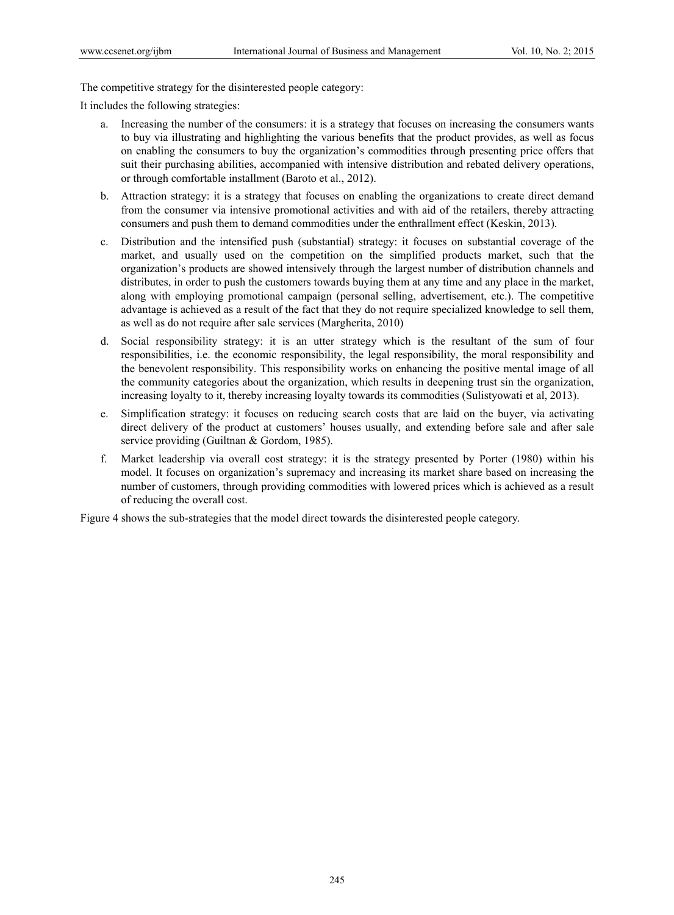The competitive strategy for the disinterested people category:

It includes the following strategies:

- a. Increasing the number of the consumers: it is a strategy that focuses on increasing the consumers wants to buy via illustrating and highlighting the various benefits that the product provides, as well as focus on enabling the consumers to buy the organization's commodities through presenting price offers that suit their purchasing abilities, accompanied with intensive distribution and rebated delivery operations, or through comfortable installment (Baroto et al., 2012).
- b. Attraction strategy: it is a strategy that focuses on enabling the organizations to create direct demand from the consumer via intensive promotional activities and with aid of the retailers, thereby attracting consumers and push them to demand commodities under the enthrallment effect (Keskin, 2013).
- c. Distribution and the intensified push (substantial) strategy: it focuses on substantial coverage of the market, and usually used on the competition on the simplified products market, such that the organization's products are showed intensively through the largest number of distribution channels and distributes, in order to push the customers towards buying them at any time and any place in the market, along with employing promotional campaign (personal selling, advertisement, etc.). The competitive advantage is achieved as a result of the fact that they do not require specialized knowledge to sell them, as well as do not require after sale services (Margherita, 2010)
- d. Social responsibility strategy: it is an utter strategy which is the resultant of the sum of four responsibilities, i.e. the economic responsibility, the legal responsibility, the moral responsibility and the benevolent responsibility. This responsibility works on enhancing the positive mental image of all the community categories about the organization, which results in deepening trust sin the organization, increasing loyalty to it, thereby increasing loyalty towards its commodities (Sulistyowati et al, 2013).
- e. Simplification strategy: it focuses on reducing search costs that are laid on the buyer, via activating direct delivery of the product at customers' houses usually, and extending before sale and after sale service providing (Guiltnan & Gordom, 1985).
- f. Market leadership via overall cost strategy: it is the strategy presented by Porter (1980) within his model. It focuses on organization's supremacy and increasing its market share based on increasing the number of customers, through providing commodities with lowered prices which is achieved as a result of reducing the overall cost.

Figure 4 shows the sub-strategies that the model direct towards the disinterested people category.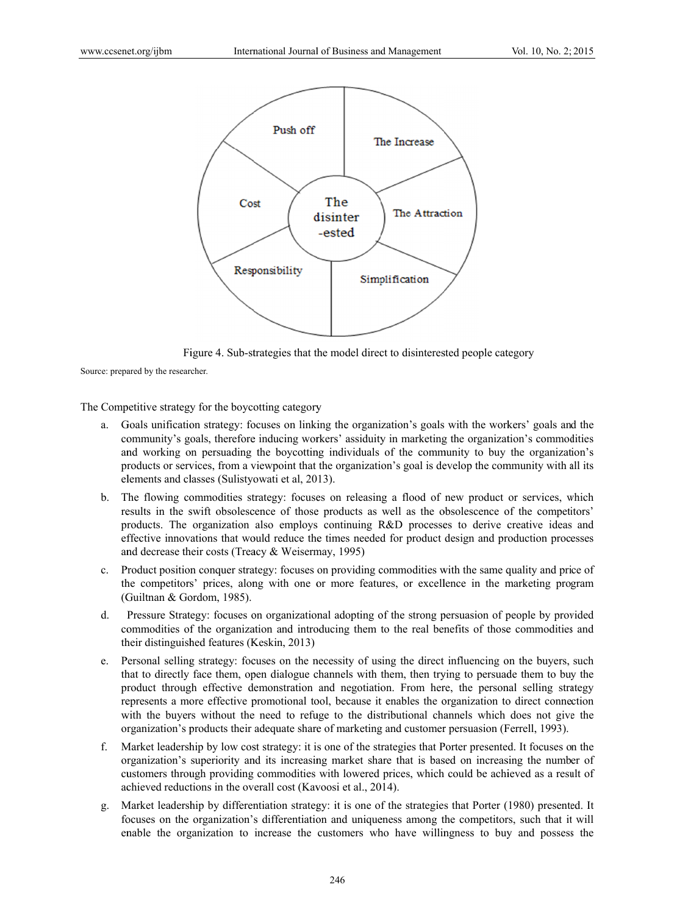

Figure 4. Sub-strategies that the model direct to disinterested people category

Source: prepared by the researcher.

The Competitive strategy for the boycotting category

- a. Goals unification strategy: focuses on linking the organization's goals with the workers' goals and the community's goals, therefore inducing workers' assiduity in marketing the organization's commodities and working on persuading the boycotting individuals of the community to buy the organization's products or services, from a viewpoint that the organization's goal is develop the community with all its elements and classes (Sulistyowati et al, 2013).
- b. The flowing commodities strategy: focuses on releasing a flood of new product or services, which results in the swift obsolescence of those products as well as the obsolescence of the competitors' products. The organization also employs continuing R&D processes to derive creative ideas and effective innovations that would reduce the times needed for product design and production processes and decrease their costs (Treacy & Weisermay, 1995)
- c. Product position conquer strategy: focuses on providing commodities with the same quality and price of the competitors' prices, along with one or more features, or excellence in the marketing program (Guiltnan & Gordom, 1985).
- $d_{-}$ Pressure Strategy: focuses on organizational adopting of the strong persuasion of people by provided commodities of the organization and introducing them to the real benefits of those commodities and their distinguished features (Keskin, 2013)
- e. Personal selling strategy: focuses on the necessity of using the direct influencing on the buyers, such that to directly face them, open dialogue channels with them, then trying to persuade them to buy the product through effective demonstration and negotiation. From here, the personal selling strategy represents a more effective promotional tool, because it enables the organization to direct connection with the buyers without the need to refuge to the distributional channels which does not give the organization's products their adequate share of marketing and customer persuasion (Ferrell, 1993).
- f. Market leadership by low cost strategy: it is one of the strategies that Porter presented. It focuses on the organization's superiority and its increasing market share that is based on increasing the number of customers through providing commodities with lowered prices, which could be achieved as a result of achieved reductions in the overall cost (Kavoosi et al., 2014).
- g. Market leadership by differentiation strategy: it is one of the strategies that Porter (1980) presented. It focuses on the organization's differentiation and uniqueness among the competitors, such that it will enable the organization to increase the customers who have willingness to buy and possess the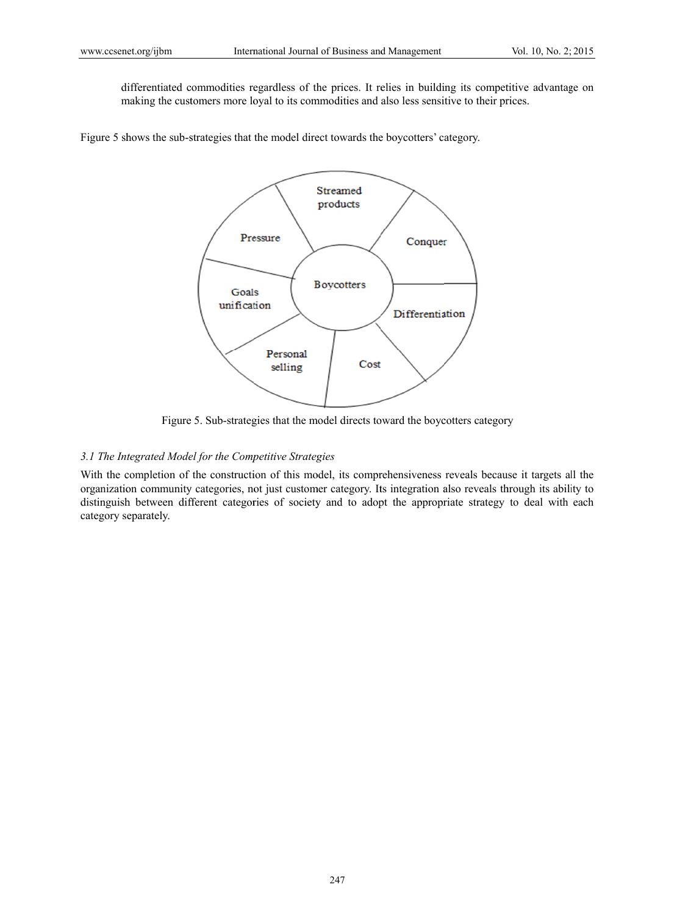differentiated commodities regardless of the prices. It relies in building its competitive advantage on making the customers more loyal to its commodities and also less sensitive to their prices.

Figure 5 shows the sub-strategies that the model direct towards the boycotters' category.



Figure 5. Sub-strategies that the model directs toward the boycotters category

## 3.1 The Integrated Model for the Competitive Strategies

With the completion of the construction of this model, its comprehensiveness reveals because it targets all the organization community categories, not just customer category. Its integration also reveals through its ability to distinguish between different categories of society and to adopt the appropriate strategy to deal with each category separately.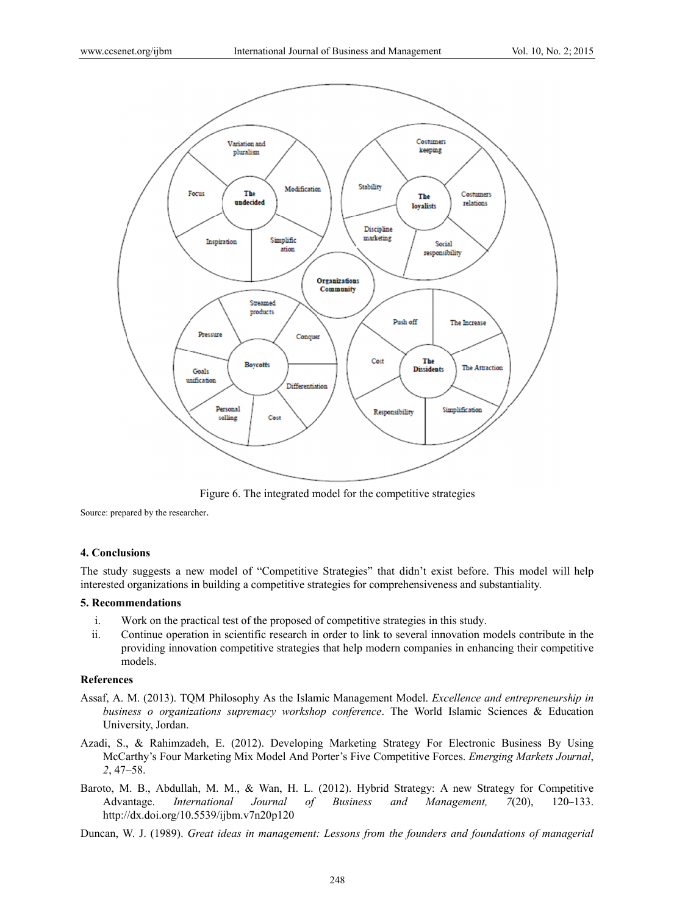

Figure 6. The integrated model for the competitive strategies

Source: prepared by the researcher.

#### 4. Conclusions

The study suggests a new model of "Competitive Strategies" that didn't exist before. This model will help interested organizations in building a competitive strategies for comprehensiveness and substantiality.

#### 5. Recommendations

- $\mathbf{i}$ . Work on the practical test of the proposed of competitive strategies in this study.
- ii. Continue operation in scientific research in order to link to several innovation models contribute in the providing innovation competitive strategies that help modern companies in enhancing their competitive models.

#### **References**

- Assaf, A. M. (2013). TQM Philosophy As the Islamic Management Model. Excellence and entrepreneurship in business o organizations supremacy workshop conference. The World Islamic Sciences & Education University, Jordan.
- Azadi, S., & Rahimzadeh, E. (2012). Developing Marketing Strategy For Electronic Business By Using McCarthy's Four Marketing Mix Model And Porter's Five Competitive Forces. Emerging Markets Journal,  $2,47 - 58.$
- Baroto, M. B., Abdullah, M. M., & Wan, H. L. (2012). Hybrid Strategy: A new Strategy for Competitive Advantage. **International** Journal  $\sigma f$ **Business** and Management,  $7(20)$ ,  $120 - 133$ . http://dx.doi.org/10.5539/ijbm.v7n20p120
- Duncan, W. J. (1989). Great ideas in management: Lessons from the founders and foundations of managerial